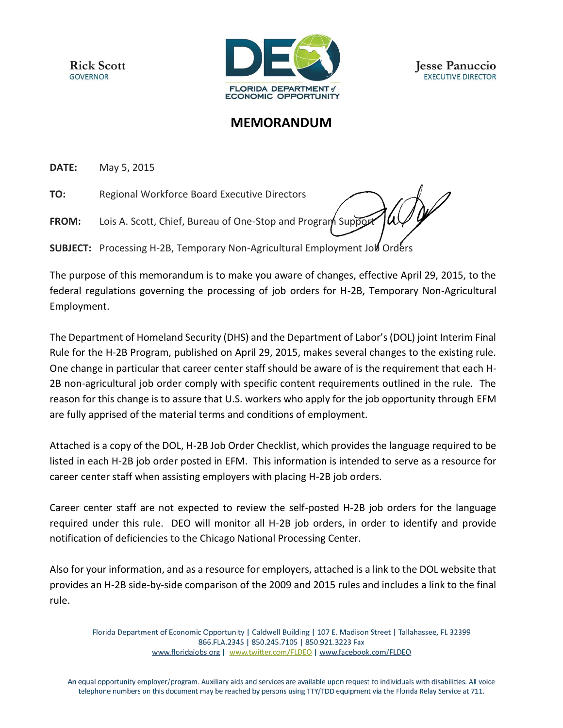**Rick Scott GOVERNOR** 



## **MEMORANDUM**

**DATE:** May 5, 2015

**TO:** Regional Workforce Board Executive Directors

**FROM:** Lois A. Scott, Chief, Bureau of One-Stop and Program Support

**SUBJECT:** Processing H-2B, Temporary Non-Agricultural Employment Job Orders

The purpose of this memorandum is to make you aware of changes, effective April 29, 2015, to the federal regulations governing the processing of job orders for H-2B, Temporary Non-Agricultural Employment.

The Department of Homeland Security (DHS) and the Department of Labor's (DOL) joint Interim Final Rule for the H-2B Program, published on April 29, 2015, makes several changes to the existing rule. One change in particular that career center staff should be aware of is the requirement that each H-2B non-agricultural job order comply with specific content requirements outlined in the rule. The reason for this change is to assure that U.S. workers who apply for the job opportunity through EFM are fully apprised of the material terms and conditions of employment.

Attached is a copy of the DOL, H-2B Job Order Checklist, which provides the language required to be listed in each H-2B job order posted in EFM. This information is intended to serve as a resource for career center staff when assisting employers with placing H-2B job orders.

Career center staff are not expected to review the self-posted H-2B job orders for the language required under this rule. DEO will monitor all H-2B job orders, in order to identify and provide notification of deficiencies to the Chicago National Processing Center.

Also for your information, and as a resource for employers, attached is a link to the DOL website that provides an H-2B side-by-side comparison of the 2009 and 2015 rules and includes a link to the final rule.

Florida Department of Economic Opportunity | Caldwell Building | 107 E. Madison Street | Tallahassee, FL 32399 866.FLA.2345 | 850.245.7105 | 850.921.3223 Fax www.floridajobs.org | www.twitter.com/FLDEO | www.facebook.com/FLDEO

An equal opportunity employer/program. Auxiliary aids and services are available upon request to individuals with disabilities. All voice telephone numbers on this document may be reached by persons using TTY/TDD equipment via the Florida Relay Service at 711.